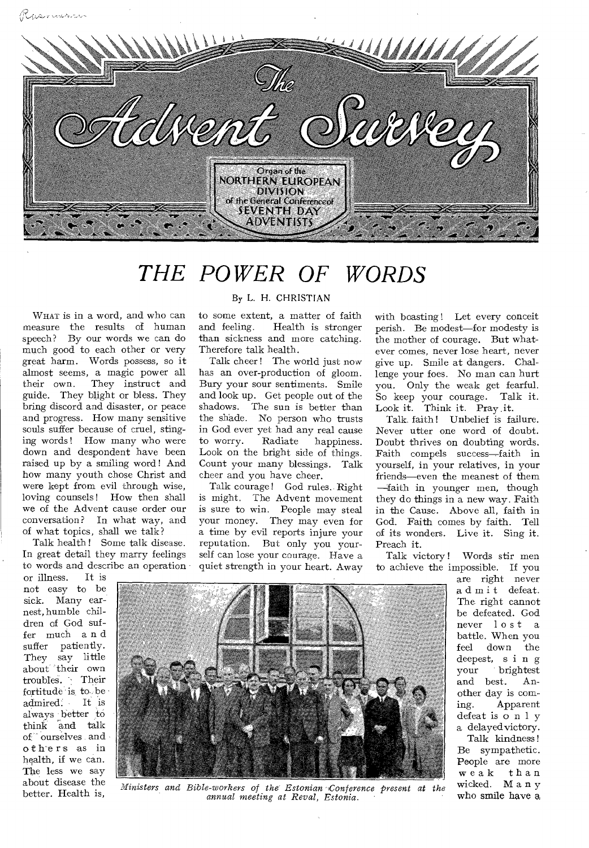

## *THE POWER OF WORDS*

WHAT is in a word, and who can measure the results of human speech? By our words we can do much good to each other or very great harm. Words possess, so it almost seems, a magic power all their own. They instruct and guide. They blight or bless. They bring discord and disaster, or peace and progress. How many sensitive souls suffer because of cruel, stinging words ! How many who were down and despondent have been raised up by a smiling word! And how many youth chose Christ and were kept from evil through wise, loving counsels! How then shall we of the Advent cause order our conversation? In what way, and of what topics, shall we talk?

Talk health! Some talk disease. In great detail they marry feelings to words and describe an operation

or illness. It is not easy to be sick. Many earnest, humble children of God suffer much a n d suffer patiently. They say little about their own troubles. Their fortitude is to be admired. It is admired. always better to think and talk of ourselves and o thers as in health, if we can. The less we say about disease the

#### By L. H. CHRISTIAN

to some extent, a matter of faith and feeling. Health is stronger than sickness and more catching. Therefore talk health.

Talk cheer ! The world just now has an over-production of gloom. Bury your sour sentiments. Smile and look up. Get people out of the shadows. The sun is better than the shade. No person who trusts in God ever yet had any real cause to worry. Radiate happiness. Look on the bright side of things. Count your many blessings. Talk cheer and you have cheer.

Talk courage! God rules.. Right is might. The Advent movement is sure to win. People may steal your money. They may even for a time by evil reports injure your reputation. But only you yourself can lose your courage. Have a quiet strength in your heart. Away with boasting ! Let every conceit perish. Be modest—for modesty is the mother of courage. But whatever comes, never lose heart, never give up. Smile at dangers. Challenge your foes. No man can hurt you. Only the weak get fearful. So keep your courage. Talk it. Look it. Think it. Pray it.

Talk, faith! Unbelief is failure. Never utter one word of doubt. Doubt thrives on doubting words. Faith compels success—faith in yourself, in your relatives, in your friends—even the meanest of them —faith in younger men, though they do things in a new way. Faith in the Cause. Above all, faith in God. Faith comes by faith. Tell of its wonders. Live it. Sing it. Preach it.

Talk victory ! Words stir men to achieve the impossible. If you

> are right never admit defeat. The right cannot be defeated. God never lost a battle. When you feel down the deepest, s i n g<br>your brightest brightest and best. Another day is coming. Apparent defeat is o n 1 y a delayed victory. Talk kindness!

Be sympathetic. People are more weak than wicked. Many who smile have a



Ministers and Bible-workers of the Estonian Conference present at the *annual meeting at Rev al, Estonia.*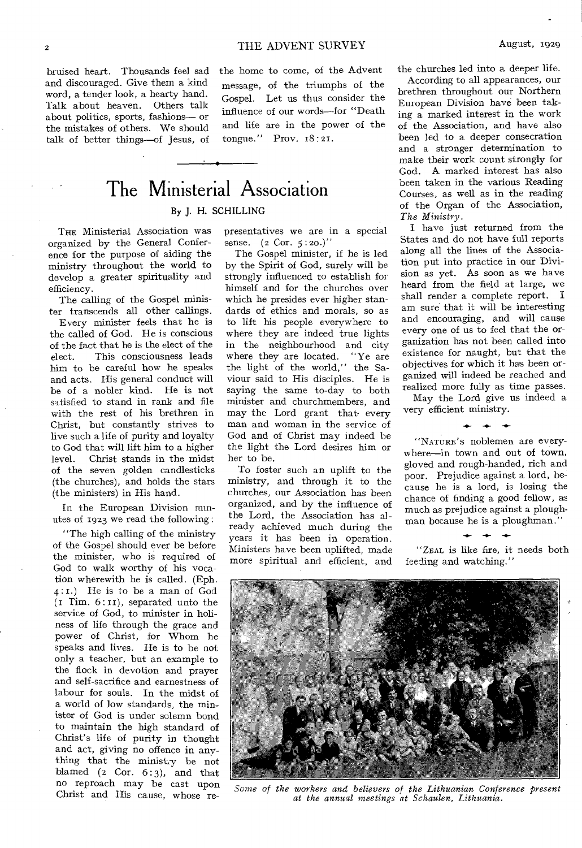bruised heart. Thousands feel sad and discouraged. Give them a kind word, a tender look, a hearty hand. Talk about heaven. Others talk about politics, sports, fashions— or the mistakes of others. We should talk of better things—of Jesus, of the home to come, of the Advent message, of the triumphs of the Gospel. Let us thus consider the influence of our words—for "Death and life are in the power of the tongue." Prov. 18:21.

## The Ministerial Association By J. H. SCHILLING

THE Ministerial Association was organized by the General Conference for the purpose of aiding the ministry throughout the world to develop a greater spirituality and efficiency.

The calling of the Gospel minister transcends all other callings.

Every minister feels that he is the called of God. He is conscious of the fact that he is the elect of the elect. This consciousness leads him to be careful how he speaks and acts. His general conduct will be of a nobler kind. He is not satisfied to stand in rank and file with the rest of his brethren in Christ, but constantly strives to live such a life of purity and loyalty to God that will lift him to a higher level. Christ stands in the midst of the seven golden candlesticks (the churches), and holds the stars (the ministers) in His hand.

In the European Division minutes of 1923 we read the following :

"The high calling of the ministry of the Gospel should ever be before the minister, who is required of God to walk worthy of his vocation wherewith he is called. (Eph. 4 : I.) He is to be a man of God  $(I$  Tim.  $6:II$ , separated unto the service of God, to minister in holiness of life through the grace and power of Christ, for Whom he speaks and lives. He is to be not only a teacher, but an example to the flock in devotion and prayer and self-sacrifice and earnestness of labour for souls. In the midst of a world of low standards, the minister of God is under solemn bond to maintain the high standard of Christ's life of purity in thought and act, giving no offence in anything that the ministry be not blamed (2 Cor. 6:3), and that no reproach may be cast upon Christ and His cause, whose re-

presentatives we are in a special sense. (2 Cor. 5:20.)"

The Gospel minister, if he is led by the Spirit of God, surely will be strongly influenced to establish for himself and for the churches over which he presides ever higher standards of ethics and morals, so as to lift his people everywhere to where they are indeed true lights in the neighbourhood and city where they are located. "Ye are the light of the world," the Saviour said to His disciples. He is saying the same to-day to both minister and churchmembers, and may the Lord grant that every man and woman in the service of God and of Christ may indeed be the light the Lord desires him or her to be.

To foster such an uplift to the ministry, and through it to the churches, our Association has been organized, and by the influence of the Lord, the Association has a] ready achieved much during the years it has been in operation. Ministers have been uplifted, made more spiritual and efficient, and

the churches led into a deeper life.

According to all appearances, our brethren throughout our Northern European Division have been taking a marked interest in the work of the Association, and have also been led to a deeper consecration and a stronger determination to make their work count strongly for God. A marked interest has also been taken in the various Reading Courses, as well as in the reading of the Organ of the Association, *The Ministry.* 

I have just returned from the States and do not have full reports along all the lines of the Association put into practice in our Division as yet. As soon as we have heard from the field at large, we shall render a complete report. I am sure that it will be interesting and encouraging, and will cause every one of us to feel that the organization has not been called into existence for naught, but that the objectives for which it has been organized will indeed be reached and realized more fully as time passes.

May the Lord give us indeed a very efficient ministry.

 $\leftarrow$ 

"NATURE'S noblemen are everywhere—in town and out of town, gloved and rough-handed, rich and poor. Prejudice against a lord, because he is a lord, is losing the chance of finding a good fellow, as much as prejudice against a ploughman because he is a ploughman."

"ZEAL is like fire, it needs both feeding and watching."



Some of the workers and believers of the Lithuanian Conference present *at the annual meetings at Schaulen, Lithuania.*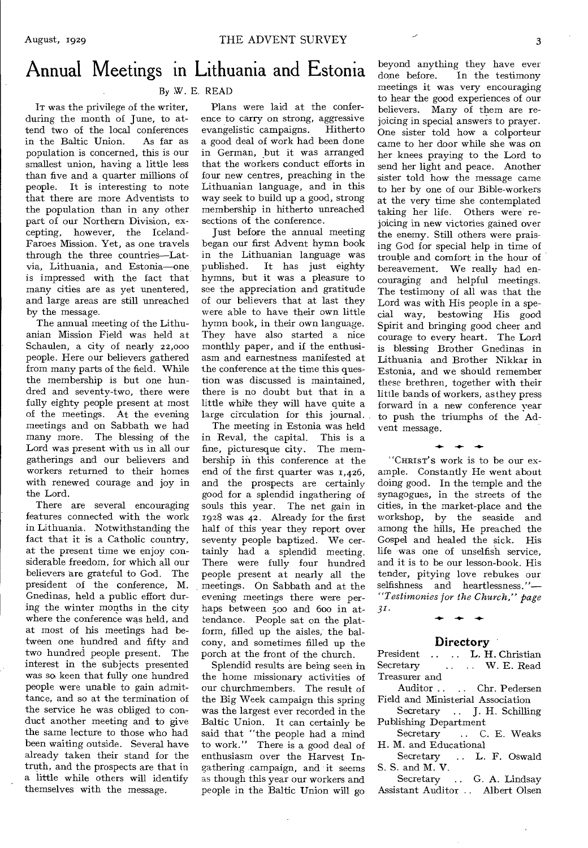## Annual Meetings in Lithuania and Estonia

#### By W. E. READ

IT was the privilege of the writer, during the month of June, to attend two of the local conferences<br>in the Baltic Union. As far as in the Baltic Union. population is concerned, this is our smallest union, having a little less than five and a quarter millions of people. It is interesting to note that there are more Adventists to the population than in any other part of our Northern Division, excepting, however, the Iceland-Faroes Mission. Yet, as one travels through the three countries—Latvia, Lithuania, and Estonia—one is impressed with the fact that many cities are as yet unentered, and large areas are still unreached by the message.

The annual meeting of the Lithuanian Mission Field was held at Schaulen, a city of nearly 22,000 people. Here our believers gathered from many parts of the field. While the membership is but one hundred and seventy-two, there were fully eighty people present at most of the meetings. At the evening meetings and on Sabbath we had many more. The blessing of the Lord was present with us in all our gatherings and our believers and workers returned to their homes with renewed courage and joy in the Lord.

There are several encouraging features connected with the work in Lithuania. Notwithstanding the fact that it is a Catholic country, at the present time we enjoy considerable freedom, for which all our believers are grateful to God. The president of the conference, M. Gnedinas, held a public effort during the winter months in the city where the conference was held, and at most of his meetings had between one hundred and fifty and two hundred people present. The interest in the subjects presented was so keen that fully one hundred people were unable to gain admittance, and so at the termination of the service he was obliged to conduct another meeting and to give the same lecture to those who had been waiting outside. Several have already taken their stand for the truth, and the prospects are that in a little while others will identify themselves with the message.

Plans were laid at the conference to carry on strong, aggressive evangelistic campaigns. Hitherto a good deal of work had been done in German, but it was arranged that the workers conduct efforts in four new centres, preaching in the Lithuanian language, and in this way seek to build up a good, strong membership in hitherto unreached sections of the conference.

Just before the annual meeting began our first Advent hymn book in the Lithuanian language was published. It has just eighty hymns, but it was a pleasure to see the appreciation and gratitude of our believers that at last they were able to have their own little hymn book, in their own language. They have also started a nice monthly paper, and if the enthusiasm and earnestness manifested at the conference at the time this question was discussed is maintained, there is no doubt but that in a little while they will have quite a large circulation for this journal.

The meeting in Estonia was held in Reval, the capital. This is a fine, picturesque city. The membership in this conference at the end of the first quarter was 1,426, and the prospects are certainly good for a splendid ingathering of souls this year. The net gain in 1928 was 42. Already for the first half of this year they report over seventy people baptized. We certainly had a splendid meeting. There were fully four hundred people present at nearly all the meetings. On Sabbath and at the evening meetings there were perhaps between 500 and 600 in attendance. People sat on the platform, filled up the aisles, the balcony, and sometimes filled up the porch at the front of the church.

Splendid results are being seen in the home missionary activities of our churchmembers. The result of the Big Week campaign this spring was the largest ever recorded in the Baltic Union. It can certainly be said that "the people had a mind to work." There is a good deal of enthusiasm over the Harvest Ingathering campaign, and it seems as though this year our workers and people in the Baltic Union will go

beyond anything they have ever done before. In the testimony meetings it was very encouraging to hear the good experiences of our believers. Many of them are rejoicing in special answers to prayer. One sister told how a colporteur came to her door while she was on her knees praying to the Lord to send her light and peace. Another sister told how the message came to her by one of our Bible-workers at the very time she contemplated taking her life. Others were rejoicing in new victories gained over the enemy. Still others were praising God for special help in time of trouble and comfort in the hour of bereavement. We really had encouraging and helpful meetings. The testimony of all was that the Lord was with His people in a special way, bestowing His good Spirit and bringing good cheer and courage to every heart. The Lord is blessing Brother Gnedinas in Lithuania and Brother Nikkar in Estonia, and we should remember these brethren, together with their little bands of workers, as they press forward in a new conference year to push the triumphs of the Advent message.

"CHRIST'S work is to be our example. Constantly He went about doing good. In the temple and the synagogues, in the streets of the cities, in the market-place and the workshop, by the seaside and among the hills, He preached the Gospel and healed the sick. His life was one of unselfish service, and it is to be our lesson-book. His tender, pitying love rebukes our selfishness and heartlessness."— *"Testimonies for the Church," page 31.* 

**-4,-** 

#### **Directory**

President .. .. L. H. Christian<br>Secretary .. . W. E. Read .. .. W. E. Read Treasurer and

- Auditor .. Chr. Pedersen Field and Ministerial Association
- Secretary .. J. H. Schilling Publishing Department
- Secretary .. C. E. Weaks H. M. and Educational

Secretary .. L. F. Oswald S. S. and M. V.

Secretary .. G. A. Lindsay Assistant Auditor .. Albert Olsen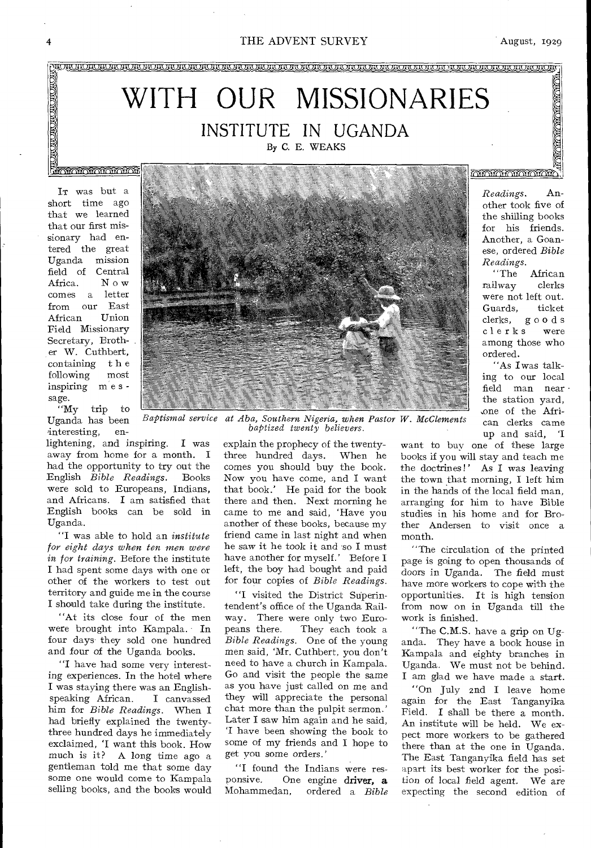#### 4 THE ADVENT SURVEY August, 1929



short time ago that we learned that our first missionary had entered the great Uganda mission field of Central<br>Africa. Now Africa. comes a letter from our East<br>African Union African Field Missionary Secretary, Brother W. Cuthbert, containing the<br>following most following inspiring m e s sage.

"My trip to Uganda has been interesting, en-

lightening, and inspiring. I was away from home for a month. I had the opportunity to try out the English *Bible Readings.* Books were sold to Europeans, Indians, and Africans. I am satisfied that English books can be sold in Uganda.

"I was able to hold an *institute for eight days when ten men were in for training.* Before the institute I had spent some days with one or other of the workers to test out territory and guide me in the course I should take during the institute.

"At its close four of the men were brought into Kampala. In four days they sold one hundred and four of the Uganda books.

"I have had some very interesting experiences. In the hotel where I was staying there was an Englishspeaking African. him for *Bible Readings.* When I had briefly explained the twentythree hundred days he immediately exclaimed, 'I want this book. How much is it? A long time ago a gentleman told me that some day some one would come to Kampala selling books, and the books would



 $B$ aptismal service *Aba, Southern Nigeria, when Pastor W. McClements baptized twenty believers.* 

> explain the prophecy of the twentythree hundred days. When he comes you should buy the book. Now you have come, and I want that book.' He paid for the book there and then. Next morning he came to me and said, 'Have you another of these books, because my friend came in last night and when he *saw* it he took it and so I must have another for myself.' Before I left, the boy had bought and paid for four copies of *Bible Readings.*

> ''I visited the District Superintendent's office of the Uganda Railway. There were only two Euro-<br>peans there. They each took a They each took a *Bible Readings.* One of the young men said, 'Mr. Cuthbert, you don't need to have a church in Kampala. Go and visit the people the same as you have just called on me and they will appreciate the personal chat more than the pulpit sermon.' Later I saw him again and he said, 'I have been showing the book to some of my friends and I hope to get you some orders.'

"I found the Indians were res-<br>ponsive. One engine driver.  $\mathbf{a}$ One engine driver, a Mohammedan, ordered a *Bible* 

other took five of the shilling books for his friends. Another, a Goanese, ordered *Bible Readings.* 

African railway clerks were not left out. Guards, ticket<br>clerks, goods goods<br>swere clerks among those who ordered.

"As I was talking to our local field man near the station yard, .one of the African clerks came up and said, 'I

want to buy one of these large books if you will stay and teach me the doctrines!' As I was leaving the town that morning, I left him in the hands of the local field man, arranging for him to have Bible studies in his home and for Brother Andersen to visit once a month.

"The circulation of the printed page is going to open thousands of doors in Uganda. The field must have more workers to cope with the opportunities. It is high tension from now on in Uganda till the work is finished.

"The C.M.S. have a grip on Uganda. They have a book house in Kampala and eighty branches in Uganda. We must not be behind. I am glad we have made a start.

"On July znd I leave home again for the East Tanganyika Field. I shall be there a month. An institute will be held. We expect more workers to be gathered there than at the one in Uganda. The East Tanganyika field has set apart its best worker for the position of local field agent. We are expecting the second edition of

**ANGELON CHINA ANGELER CANGLES DELL'ANGELON CANGLES DELLE**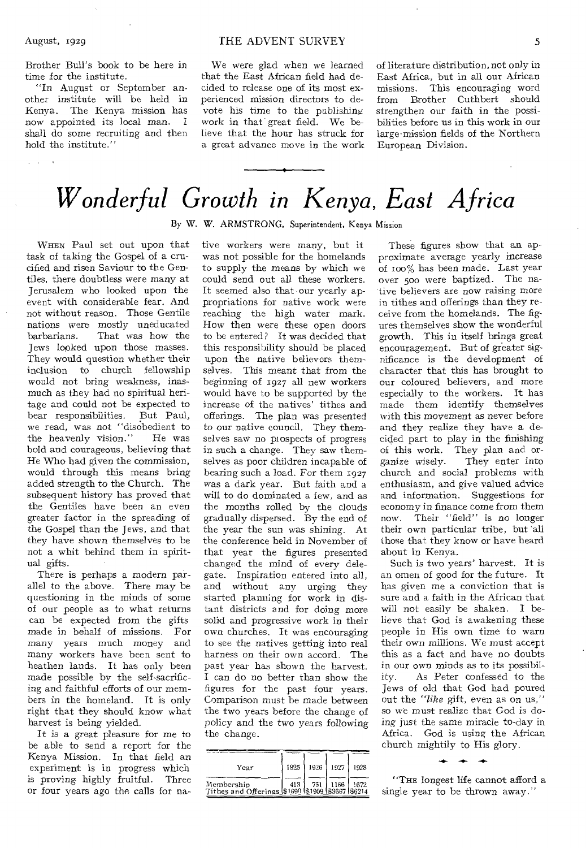$\omega = \omega$  .

Brother Bull's book to be here in time for the institute.

"In August or September another institute will be held in Kenya. The Kenya mission has now appointed its local man. I shall do some recruiting and then hold the institute."

We were glad when we learned that the East African field had decided to release one of its most experienced mission directors to devote his time to the publishing work in that great field. We believe that the hour has struck for a great advance move in the work of literature distribution, not only in East Africa, but in all our African missions. This encouraging word from Brother Cuthbert should strengthen our faith in the possibilities before us in this work in our large•mission fields of the Northern European Division.

## *Wonderful Growth in Kenya, East Africa*

By W. W. ARMSTRONG, Superintendent, Kenya Mission

WHEN Paul set out upon that task of taking the Gospel of a crucified and risen Saviour to the Gentiles, there doubtless were many at Jerusalem who looked upon the event with considerable fear. And not without reason. Those Gentile nations were mostly uneducated barbarians. That was how the Jews looked upon those masses. They would question whether their inclusion to church fellowship would not bring weakness, inasmuch as they had no spiritual heritage and could not be expected to bear responsibilities. But Paul, we read, was not "disobedient to the heavenly vision." He was bold and courageous, believing that He Who had given the commission, would through this means bring added strength to the Church. The subsequent history has proved that the Gentiles have been an even greater factor in the spreading of the Gospel than the Jews, and that they have shown themselves to be not a whit behind them in spiritual gifts.

There is perhaps a modern parallel to the above. There may be questioning in the minds of some of our people as to what returns can be expected from the gifts made in behalf of missions. For many years much money and many workers have been sent to heathen lands. It has only been made possible by the self-sacrificing and faithful efforts of our members in the homeland. It is only right that they should know what harvest is being yielded.

It is a great pleasure for me to be able to send a report for the Kenya Mission. In that field an experiment is in progress which is proving highly fruitful. Three or four years ago the calls for native workers were many, but it was not possible for the homelands to supply the means by which we could send out all these workers. It seemed also that our yearly appropriations for native work were reaching the high water mark. How then were these open doors to be entered? It was decided that this responsibility should be placed upon the native believers themselves. This meant that from the beginning of 1927 all new workers would have to be supported by the increase of the natives' tithes and offerings. The plan was presented to our native council. They themselves saw no prospects of progress in such a change. They saw themselves as poor children incapable of bearing such a load. For them 1927 was a dark year. But faith and a will to do dominated a few, and as the months rolled by the clouds gradually dispersed. By the end of the year the sun was shining. At the conference held in November of that year the figures presented changed the mind of every delegate. Inspiration entered into all, and without any urging they started planning for work in distant districts and for doing more solid and progressive work in their own churches. It was encouraging to see the natives getting into real harness on their own accord. The past year has shown the harvest. I can do no better than show the figures for the past four years. Comparison must he made between the two years before the change of policy and the two years following the change.

| Year                                                           | 1925 |     | 1926 1927 | 1928 |
|----------------------------------------------------------------|------|-----|-----------|------|
| Membership<br>Tithes and Offerings \$1690 \$1909 \$3667 \$6214 | 413  | 751 | 1166      | 1672 |

These figures show that an approximate average yearly increase of T00% has been made. Last year over 50o were baptized. The native believers are now raising more in tithes and offerings than they receive from the homelands. The figures themselves show the wonderful growth. This in itself brings great encouragement. But of greater significance is the development of character that this has brought to our coloured believers, and more especially to the workers. It has made them identify themselves with this movement as never before and they realize they have a decided part to play in the finishing of this work. They plan and organize wisely. They enter into church and social problems with enthusiasm, and give valued advice and information. Suggestions for economy in finance come from them now. Their "field" is no longer their own particular tribe, but 'all those that they know or have heard about in Kenya.

Such is two years' harvest. It is an omen of good for the future. It has given me a conviction that is sure and a faith in the African that will not easily be shaken. I believe that God is awakening these people in His own time to warn their own millions. We must accept this as a fact and have no doubts in our own minds as to its possibility. As Peter confessed to the Jews of old that God had poured out the *"like* gift, even as on us," so we must realize that God is doing just the same miracle to-day in Africa. God is using the African church mightily to His glory.

"THE longest life cannot afford a single year to be thrown away."

التعدي التعد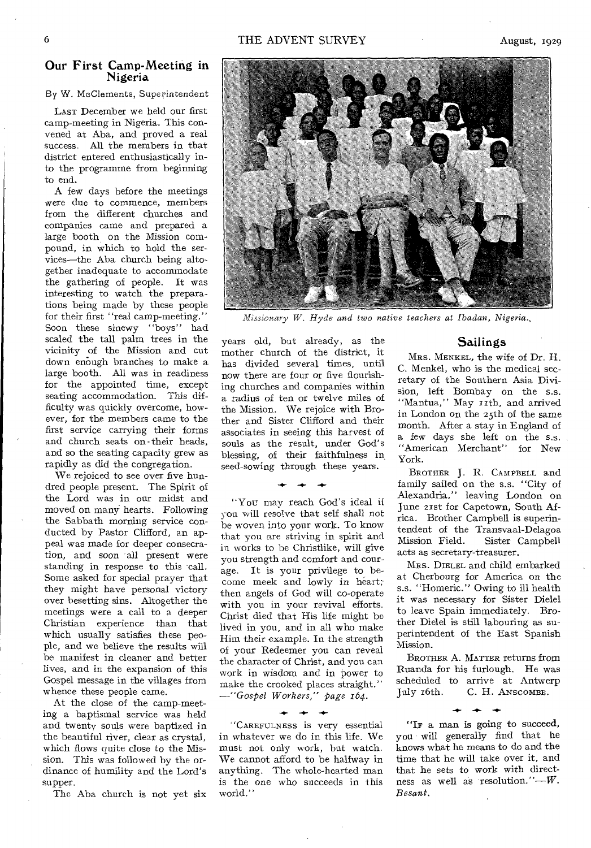August, 1929

#### Our First Camp-Meeting in Nigeria

By W. McClements, Superintendent

LAST December we held our first camp-meeting in Nigeria. This convened at Aba, and proved a real success. All the members in that district entered enthusiastically into the programme from beginning to end.

A few days before the meetings were due to commence, members from the different churches and companies came and prepared a large booth on the Mission compound, in which to hold the services—the Aba church being altogether inadequate to accommodate the gathering of people. It was interesting to watch the preparations being made by these people for their first "real camp-meeting." Soon these sinewy "boys" had scaled the tall palm trees in the vicinity of the Mission and cut down enough branches to make a large booth. All was in readiness for the appointed time, except seating accommodation. This difficulty was quickly overcome, however, for the members came to the first service carrying their forms and church seats on -their heads, and so the seating capacity grew as rapidly as did the congregation.

We rejoiced to see over five hundred people present. The Spirit of the Lord was in our midst and moved on many hearts. Following the Sabbath morning service conducted by Pastor Clifford, an appeal was made for deeper consecration, and soon all present were standing in response to this call. Some asked for special prayer that they might have personal victory over besetting sins. Altogether the meetings were a call to a deeper Christian experience than that which usually satisfies these people, and we believe the results will be manifest in cleaner and better lives, and in the expansion of this Gospel message in the villages from whence these people came.

At the close of the camp-meeting a baptismal service was held and twenty souls were baptized in the beautiful river, clear as crystal, which flows quite close to the Mission. This was followed by the ordinance of humility and the Lord's supper.

The Aba church is not yet six



*Missionary W. Hyde and two native teachers at lbadan, Nigeria.,* 

years old, but already, as the mother church of the district, it has divided several times, until now there are four or five flourishing churches and companies within a radius of ten or twelve miles of the Mission. We rejoice with Brother and Sister Clifford and their associates in seeing this harvest of souls as the result, under God's blessing, of their faithfulness in. seed-sowing through these years.

 $+ + +$ 

"You may reach God's ideal if you will resolve that self shall not be woven into your work. To know that you are striving in spirit and in works to be Christlike, will give you strength and comfort and courage. It is your privilege to become meek and lowly in heart; then angels of God will co-operate with you in your revival efforts. Christ died that His life might be lived in you, and in all who make Him their example. In the strength of your Redeemer you can reveal the character of Christ, and you can work in wisdom and in power to make the crooked places straight." *—"Gospel Workers," page 164.* 

"CAREFULNESS is very essential in whatever we do in this life. We must not only work, but watch. We cannot afford to be halfway in anything. The whole-hearted man is the one who succeeds in this world."

**-41.- .40,** 

#### Sailings

MRS. MENKEL, the wife of Dr. H. C. Menkel, who is the medical secretary of the Southern Asia Division, left Bombay on the s.s. "Mantua," May rith, and arrived in London on the 25th of the same month. After a stay in England of a few days she left on the s.s. "American Merchant" for New York.

BROTHER J. R. CAMPBELL and family sailed on the s.s. "City of Alexandria," leaving London on June 21st for Capetown, South Africa. Brother Campbell is superintendent of the Transvaal-Delagoa<br>Mission Field. Sister Campbell Sister Campbell acts as secretary-treasurer.

MRS. DIELEL and child embarked at Cherbourg for America on the s.s. "Homeric." Owing to ill health it was necessary for Sister Dielel to leave Spain immediately. Brother Dielel is still labouring as superintendent of the East Spanish Mission.

BROTHER A. MATTER returns from Ruanda for his furlough. He was scheduled to arrive at Antwerp<br>July 16th. C. H. ANSCOMBE. C. H. ANSCOMBE.

 $\ddot{\phantom{0}}$ "IF a man is going to succeed, you will generally find that he knows what he means to do and the time that he will take over it, and that he sets to work with directness as well as resolution."—W. *Besant.*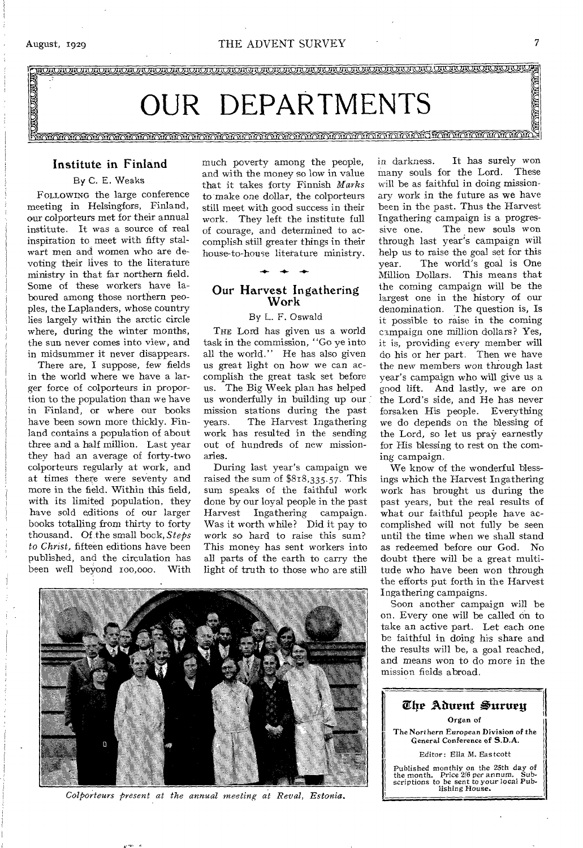

#### Institute in Finland

#### By C. E. Weaks

FOLLOWING the large conference meeting in Helsingfors, Finland, our colporteurs met for their annual institute. It was a source of real inspiration to meet with fifty stalwart men and women who are devoting their lives to the literature ministry in that far northern field. Some of these workers have laboured among those northern peoples, the Laplanders, whose country lies largely within the arctic circle where, during the winter months, the sun never comes into view, and in midsummer it never disappears.

There are, I suppose, few fields in the world where we have a larger force of colporteurs in proportion to the population than we have in Finland, or where our books have been sown more thickly. Finland contains a population of about three and a half million. Last year they had an average of forty-two colporteurs regularly at work, and at times there were seventy and more in the field. Within this field, with its limited population, they have sold editions of our larger books totalling from thirty to forty thousand. Of the small book, *Steps to Christ,* fifteen editions have been published, and the circulation has been well beyond ioo,000. With much poverty among the people, and with the money so low in value that it takes forty Finnish *Marks*  to make one dollar, the colporteurs still meet with good success in their work. They left the institute full of courage, and determined to accomplish still greater things in their house-to-house literature ministry.

#### Our Harvest Ingathering Work

**-4-** 

#### By L. F. Oswald

THE Lord has given us a world task in the commission, "Go ye into all the world." He has also given us great light on how we can accomplish the great task set before us. The Big Week plan has helped us wonderfully in building up our mission stations during the past years. The Harvest Ingathering work has resulted in the sending out of hundreds of new missionaries.

During last year's campaign we raised the sum of \$818,335.57. This sum speaks of the faithful work done by our loyal people in the past Harvest Ingathering campaign. Was it worth while? Did it pay to work so hard to raise this sum? This money has sent workers into all parts of the earth to carry the light of truth to those who are still

in darkness. It has surely won many souls for the Lord. These will be as faithful in doing missionary work in the future as we have been in the past. Thus the Harvest Ingathering campaign is a progressive one. The new souls won through last year's campaign will help us to raise the goal set for this year. The world's goal is One Million Dollars. This means that the coming campaign will be the largest one in the history of our denomination. The question is, Is it possible to raise in the coming campaign one million dollars? Yes, it is, providing every member will do his or her part. Then we have the new members won through last year's campaign who will give us a good lift. And lastly, we are on the Lord's side, and He has never forsaken His people. Everything we do depends on the blessing of the Lord, so let us pray earnestly for His blessing to rest on the coming campaign.

We know of the wonderful blessings which the Harvest Ingathering work has brought us during the past years, but the real results of what our faithful people have accomplished will not fully be seen until the time when we shall stand as redeemed before our God. No doubt there will be a great multitude who have been won through the efforts put forth in the Harvest I ngathering campaigns.

Soon another campaign will be on. Every one will be called on to take an active part. Let each one be faithful in doing his share and the results will be, a goal reached, and means won to do more in the mission fields abroad.



*Colporteurs present at the annual meeting at Revel, Estonia.*